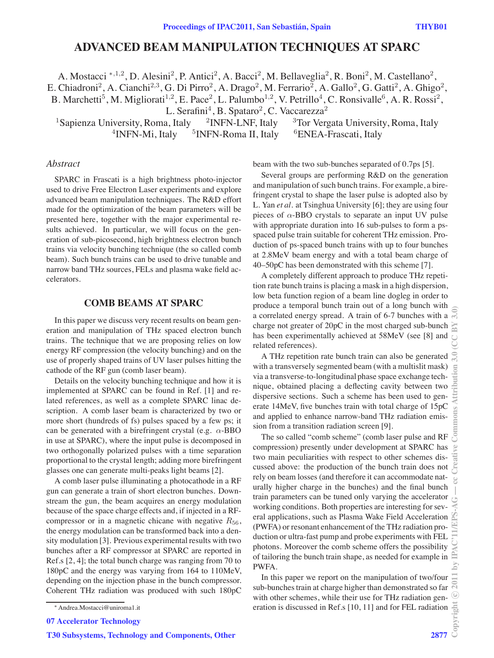# **ADVANCED BEAM MANIPULATION TECHNIQUES AT SPARC**

A. Mostacci <sup>∗</sup>*,*1*,*<sup>2</sup>, D. Alesini<sup>2</sup>, P. Antici<sup>2</sup>, A. Bacci<sup>2</sup>, M. Bellaveglia<sup>2</sup>, R. Boni<sup>2</sup>, M. Castellano<sup>2</sup>, E. Chiadroni<sup>2</sup>, A. Cianchi<sup>2,3</sup>, G. Di Pirro<sup>2</sup>, A. Drago<sup>2</sup>, M. Ferrario<sup>2</sup>, A. Gallo<sup>2</sup>, G. Gatti<sup>2</sup>, A. Ghigo<sup>2</sup>, B. Marchetti<sup>5</sup>, M. Migliorati<sup>1,2</sup>, E. Pace<sup>2</sup>, L. Palumbo<sup>1,2</sup>, V. Petrillo<sup>4</sup>, C. Ronsivalle<sup>6</sup>, A. R. Rossi<sup>2</sup>,

L. Serafini<sup>4</sup>, B. Spataro<sup>2</sup>, C. Vaccarezza<sup>2</sup><br><sup>1</sup>Sapienza University, Roma, Italy <sup>2</sup>INFN-LNF, Italy <sup>3</sup>Tor Verg <sup>2</sup>INFN-LNF, Italy <sup>3</sup>Tor Vergata University, Roma, Italy <sup>5</sup>INFN-Roma II, Italy <sup>6</sup>ENEA-Frascati, Italy  $4$ INFN-Mi, Italy  $5$ INFN-Roma II, Italy  $6$ ENEA-Frascati, Italy

#### *Abstract*

SPARC in Frascati is a high brightness photo-injector used to drive Free Electron Laser experiments and explore advanced beam manipulation techniques. The R&D effort made for the optimization of the beam parameters will be presented here, together with the major experimental results achieved. In particular, we will focus on the generation of sub-picosecond, high brightness electron bunch trains via velocity bunching technique (the so called comb beam). Such bunch trains can be used to drive tunable and narrow band THz sources, FELs and plasma wake field accelerators.

## **COMB BEAMS AT SPARC**

In this paper we discuss very recent results on beam generation and manipulation of THz spaced electron bunch trains. The technique that we are proposing relies on low energy RF compression (the velocity bunching) and on the use of properly shaped trains of UV laser pulses hitting the cathode of the RF gun (comb laser beam).

Details on the velocity bunching technique and how it is implemented at SPARC can be found in Ref. [1] and related references, as well as a complete SPARC linac description. A comb laser beam is characterized by two or more short (hundreds of fs) pulses spaced by a few ps; it can be generated with a birefringent crystal (e.g.  $\alpha$ -BBO in use at SPARC), where the input pulse is decomposed in two orthogonally polarized pulses with a time separation proportional to the crystal length; adding more birefringent glasses one can generate multi-peaks light beams [2].

A comb laser pulse illuminating a photocathode in a RF gun can generate a train of short electron bunches. Downstream the gun, the beam acquires an energy modulation because of the space charge effects and, if injected in a RFcompressor or in a magnetic chicane with negative  $R_{56}$ , the energy modulation can be transformed back into a density modulation [3]. Previous experimental results with two bunches after a RF compressor at SPARC are reported in Ref.s [2, 4]; the total bunch charge was ranging from 70 to 180pC and the energy was varying from 164 to 110MeV, depending on the injection phase in the bunch compressor. Coherent THz radiation was produced with such 180pC beam with the two sub-bunches separated of 0.7ps [5].

Several groups are performing R&D on the generation and manipulation of such bunch trains. For example, a birefringent crystal to shape the laser pulse is adopted also by L. Yan *et al.* at Tsinghua University [6]; they are using four pieces of  $\alpha$ -BBO crystals to separate an input UV pulse with appropriate duration into 16 sub-pulses to form a psspaced pulse train suitable for coherent THz emission. Production of ps-spaced bunch trains with up to four bunches at 2.8MeV beam energy and with a total beam charge of 40–50pC has been demonstrated with this scheme [7].

A completely different approach to produce THz repetition rate bunch trains is placing a mask in a high dispersion, low beta function region of a beam line dogleg in order to produce a temporal bunch train out of a long bunch with a correlated energy spread. A train of 6-7 bunches with a charge not greater of 20pC in the most charged sub-bunch has been experimentally achieved at 58MeV (see [8] and related references).

A THz repetition rate bunch train can also be generated with a transversely segmented beam (with a multislit mask) via a transverse-to-longitudinal phase space exchange technique, obtained placing a deflecting cavity between two dispersive sections. Such a scheme has been used to generate 14MeV, five bunches train with total charge of 15pC and applied to enhance narrow-band THz radiation emission from a transition radiation screen [9].

The so called "comb scheme" (comb laser pulse and RF compression) presently under development at SPARC has two main peculiarities with respect to other schemes discussed above: the production of the bunch train does not rely on beam losses (and therefore it can accommodate naturally higher charge in the bunches) and the final bunch train parameters can be tuned only varying the accelerator working conditions. Both properties are interesting for several applications, such as Plasma Wake Field Acceleration (PWFA) or resonant enhancement of the THz radiation production or ultra-fast pump and probe experiments with FEL photons. Moreover the comb scheme offers the possibility of tailoring the bunch train shape, as needed for example in PWFA.

In this paper we report on the manipulation of two/four sub-bunches train at charge higher than demonstrated so far with other schemes, while their use for THz radiation generation is discussed in Ref.s [10, 11] and for FEL radiation

<sup>∗</sup> Andrea.Mostacci@uniroma1.it

<sup>07</sup> Accelerator Technology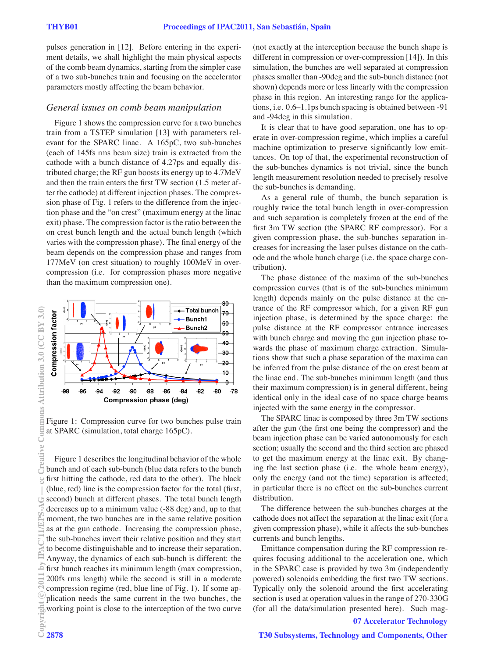pulses generation in [12]. Before entering in the experiment details, we shall highlight the main physical aspects of the comb beam dynamics, starting from the simpler case of a two sub-bunches train and focusing on the accelerator parameters mostly affecting the beam behavior.

#### *General issues on comb beam manipulation*

Figure 1 shows the compression curve for a two bunches train from a TSTEP simulation [13] with parameters relevant for the SPARC linac. A 165pC, two sub-bunches (each of 145fs rms beam size) train is extracted from the cathode with a bunch distance of 4.27ps and equally distributed charge; the RF gun boosts its energy up to 4.7MeV and then the train enters the first TW section (1.5 meter after the cathode) at different injection phases. The compression phase of Fig. 1 refers to the difference from the injection phase and the "on crest" (maximum energy at the linac exit) phase. The compression factor is the ratio between the on crest bunch length and the actual bunch length (which varies with the compression phase). The final energy of the beam depends on the compression phase and ranges from 177MeV (on crest situation) to roughly 100MeV in overcompression (i.e. for compression phases more negative than the maximum compression one).



Figure 1: Compression curve for two bunches pulse train at SPARC (simulation, total charge 165pC).

Figure 1 describes the longitudinal behavior of the whole bunch and of each sub-bunch (blue data refers to the bunch first hitting the cathode, red data to the other). The black (blue, red) line is the compression factor for the total (first, second) bunch at different phases. The total bunch length decreases up to a minimum value (-88 deg) and, up to that moment, the two bunches are in the same relative position as at the gun cathode. Increasing the compression phase, the sub-bunches invert their relative position and they start to become distinguishable and to increase their separation. Anyway, the dynamics of each sub-bunch is different: the first bunch reaches its minimum length (max compression, 200fs rms length) while the second is still in a moderate compression regime (red, blue line of Fig. 1). If some application needs the same current in the two bunches, the working point is close to the interception of the two curve<br>  $\begin{bmatrix}\n\vdots \\
\vdots \\
\vdots \\
\vdots\n\end{bmatrix}$ <br>  $\begin{bmatrix}\n2878\n\end{bmatrix}$ 

(not exactly at the interception because the bunch shape is different in compression or over-compression [14]). In this simulation, the bunches are well separated at compression phases smaller than -90deg and the sub-bunch distance (not shown) depends more or less linearly with the compression phase in this region. An interesting range for the applications, i.e. 0.6–1.1ps bunch spacing is obtained between -91 and -94deg in this simulation.

It is clear that to have good separation, one has to operate in over-compression regime, which implies a careful machine optimization to preserve significantly low emittances. On top of that, the experimental reconstruction of the sub-bunches dynamics is not trivial, since the bunch length measurement resolution needed to precisely resolve the sub-bunches is demanding.

As a general rule of thumb, the bunch separation is roughly twice the total bunch length in over-compression and such separation is completely frozen at the end of the first 3m TW section (the SPARC RF compressor). For a given compression phase, the sub-bunches separation increases for increasing the laser pulses distance on the cathode and the whole bunch charge (i.e. the space charge contribution).

The phase distance of the maxima of the sub-bunches compression curves (that is of the sub-bunches minimum length) depends mainly on the pulse distance at the entrance of the RF compressor which, for a given RF gun injection phase, is determined by the space charge: the pulse distance at the RF compressor entrance increases with bunch charge and moving the gun injection phase towards the phase of maximum charge extraction. Simulations show that such a phase separation of the maxima can be inferred from the pulse distance of the on crest beam at the linac end. The sub-bunches minimum length (and thus their maximum compression) is in general different, being identical only in the ideal case of no space charge beams injected with the same energy in the compressor.

The SPARC linac is composed by three 3m TW sections after the gun (the first one being the compressor) and the beam injection phase can be varied autonomously for each section; usually the second and the third section are phased to get the maximum energy at the linac exit. By changing the last section phase (i.e. the whole beam energy), only the energy (and not the time) separation is affected; in particular there is no effect on the sub-bunches current distribution.

The difference between the sub-bunches charges at the cathode does not affect the separation at the linac exit (for a given compression phase), while it affects the sub-bunches currents and bunch lengths.

Emittance compensation during the RF compression requires focusing additional to the acceleration one, which in the SPARC case is provided by two 3m (independently powered) solenoids embedding the first two TW sections. Typically only the solenoid around the first accelerating section is used at operation values in the range of 270-330G (for all the data/simulation presented here). Such mag-

## 07 Accelerator Technology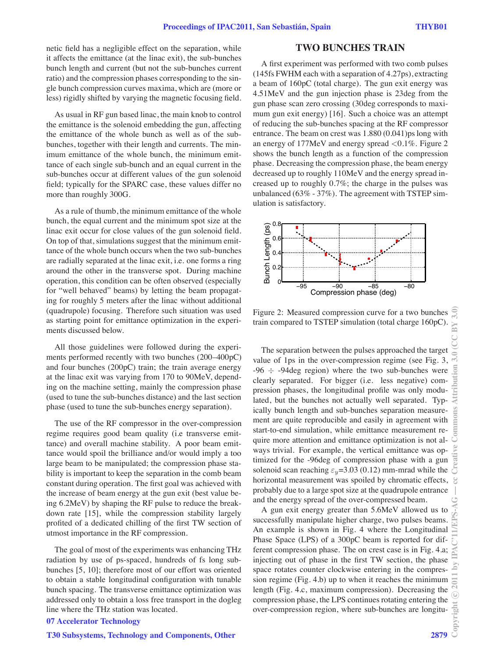netic field has a negligible effect on the separation, while it affects the emittance (at the linac exit), the sub-bunches bunch length and current (but not the sub-bunches current ratio) and the compression phases corresponding to the single bunch compression curves maxima, which are (more or less) rigidly shifted by varying the magnetic focusing field.

As usual in RF gun based linac, the main knob to control the emittance is the solenoid embedding the gun, affecting the emittance of the whole bunch as well as of the subbunches, together with their length and currents. The minimum emittance of the whole bunch, the minimum emittance of each single sub-bunch and an equal current in the sub-bunches occur at different values of the gun solenoid field; typically for the SPARC case, these values differ no more than roughly 300G.

As a rule of thumb, the minimum emittance of the whole bunch, the equal current and the minimum spot size at the linac exit occur for close values of the gun solenoid field. On top of that, simulations suggest that the minimum emittance of the whole bunch occurs when the two sub-bunches are radially separated at the linac exit, i.e. one forms a ring around the other in the transverse spot. During machine operation, this condition can be often observed (especially for "well behaved" beams) by letting the beam propagating for roughly 5 meters after the linac without additional (quadrupole) focusing. Therefore such situation was used as starting point for emittance optimization in the experiments discussed below.

All those guidelines were followed during the experiments performed recently with two bunches (200–400pC) and four bunches (200pC) train; the train average energy at the linac exit was varying from 170 to 90MeV, depending on the machine setting, mainly the compression phase (used to tune the sub-bunches distance) and the last section phase (used to tune the sub-bunches energy separation).

The use of the RF compressor in the over-compression regime requires good beam quality (i.e transverse emittance) and overall machine stability. A poor beam emittance would spoil the brilliance and/or would imply a too large beam to be manipulated; the compression phase stability is important to keep the separation in the comb beam constant during operation. The first goal was achieved with the increase of beam energy at the gun exit (best value being 6.2MeV) by shaping the RF pulse to reduce the breakdown rate [15], while the compression stability largely profited of a dedicated chilling of the first TW section of utmost importance in the RF compression.

The goal of most of the experiments was enhancing THz radiation by use of ps-spaced, hundreds of fs long subbunches [5, 10]; therefore most of our effort was oriented to obtain a stable longitudinal configuration with tunable bunch spacing. The transverse emittance optimization was addressed only to obtain a loss free transport in the dogleg line where the THz station was located.

#### 07 Accelerator Technology

#### T30 Subsystems, Technology and Components, Other 2879

## **TWO BUNCHES TRAIN**

A first experiment was performed with two comb pulses (145fs FWHM each with a separation of 4.27ps), extracting a beam of 160pC (total charge). The gun exit energy was 4.51MeV and the gun injection phase is 23deg from the gun phase scan zero crossing (30deg corresponds to maximum gun exit energy) [16]. Such a choice was an attempt of reducing the sub-bunches spacing at the RF compressor entrance. The beam on crest was 1.880 (0.041)ps long with an energy of 177MeV and energy spread <0.1%. Figure 2 shows the bunch length as a function of the compression phase. Decreasing the compression phase, the beam energy decreased up to roughly 110MeV and the energy spread increased up to roughly 0.7%; the charge in the pulses was unbalanced (63% - 37%). The agreement with TSTEP simulation is satisfactory.



Figure 2: Measured compression curve for a two bunches train compared to TSTEP simulation (total charge 160pC).

The separation between the pulses approached the target value of 1ps in the over-compression regime (see Fig. 3,  $-96 \div -94$ deg region) where the two sub-bunches were clearly separated. For bigger (i.e. less negative) compression phases, the longitudinal profile was only modulated, but the bunches not actually well separated. Typically bunch length and sub-bunches separation measurement are quite reproducible and easily in agreement with start-to-end simulation, while emittance measurement require more attention and emittance optimization is not always trivial. For example, the vertical emittance was optimized for the -96deg of compression phase with a gun solenoid scan reaching  $\varepsilon_y = 3.03$  (0.12) mm-mrad while the horizontal measurement was spoiled by chromatic effects, probably due to a large spot size at the quadrupole entrance and the energy spread of the over-compressed beam.

A gun exit energy greater than 5.6MeV allowed us to successfully manipulate higher charge, two pulses beams. An example is shown in Fig. 4 where the Longitudinal Phase Space (LPS) of a 300pC beam is reported for different compression phase. The on crest case is in Fig. 4.a; injecting out of phase in the first TW section, the phase space rotates counter clockwise entering in the compression regime (Fig. 4.b) up to when it reaches the minimum length (Fig. 4.c, maximum compression). Decreasing the compression phase, the LPS continues rotating entering the over-compression region, where sub-bunches are longitu-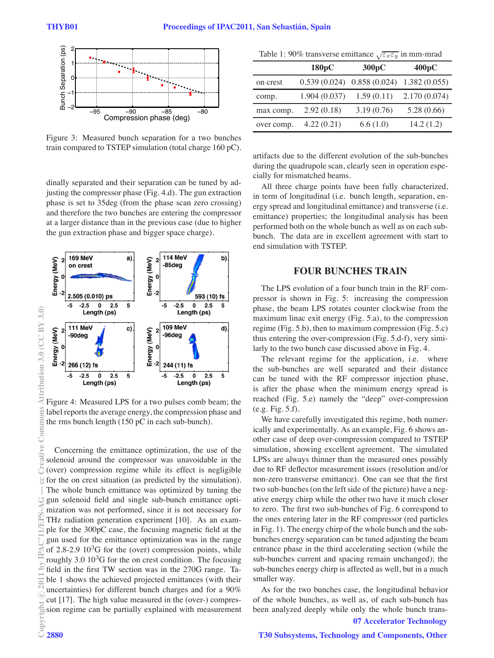

Figure 3: Measured bunch separation for a two bunches train compared to TSTEP simulation (total charge 160 pC).

dinally separated and their separation can be tuned by adjusting the compressor phase (Fig. 4.d). The gun extraction phase is set to 35deg (from the phase scan zero crossing) and therefore the two bunches are entering the compressor at a larger distance than in the previous case (due to higher the gun extraction phase and bigger space charge).



Figure 4: Measured LPS for a two pulses comb beam; the label reports the average energy, the compression phase and the rms bunch length (150 pC in each sub-bunch).

Concerning the emittance optimization, the use of the solenoid around the compressor was unavoidable in the (over) compression regime while its effect is negligible for the on crest situation (as predicted by the simulation). The whole bunch emittance was optimized by tuning the gun solenoid field and single sub-bunch emittance optimization was not performed, since it is not necessary for THz radiation generation experiment [10]. As an example for the 300pC case, the focusing magnetic field at the gun used for the emittance optimization was in the range of  $2.8-2.9$   $10<sup>3</sup>G$  for the (over) compression points, while roughly  $3.0\ 10^{3}$ G for the on crest condition. The focusing field in the first TW section was in the 270G range. Table 1 shows the achieved projected emittances (with their uncertainties) for different bunch charges and for a 90% cut [17]. The high value measured in the (over-) compression regime can be partially explained with measurement c○

Table 1: 90% transverse emittance √ε*x*ε*<sup>y</sup>* in mm-mrad

|            | 180pC        | 300 pC                        | 400pC        |
|------------|--------------|-------------------------------|--------------|
| on crest   |              | $0.539(0.024)$ $0.858(0.024)$ | 1.382(0.055) |
| comp.      | 1.904(0.037) | 1.59(0.11)                    | 2.170(0.074) |
| max comp.  | 2.92(0.18)   | 3.19(0.76)                    | 5.28(0.66)   |
| over comp. | 4.22(0.21)   | 6.6(1.0)                      | 14.2(1.2)    |

artifacts due to the different evolution of the sub-bunches during the quadrupole scan, clearly seen in operation especially for mismatched beams.

All three charge points have been fully characterized, in term of longitudinal (i.e. bunch length, separation, energy spread and longitudinal emittance) and transverse (i.e. emittance) properties; the longitudinal analysis has been performed both on the whole bunch as well as on each subbunch. The data are in excellent agreement with start to end simulation with TSTEP.

#### **FOUR BUNCHES TRAIN**

The LPS evolution of a four bunch train in the RF compressor is shown in Fig. 5: increasing the compression phase, the beam LPS rotates counter clockwise from the maximum linac exit energy (Fig. 5.a), to the compression regime (Fig. 5.b), then to maximum compression (Fig. 5.c) thus entering the over-compression (Fig. 5.d-f), very similarly to the two bunch case discussed above in Fig. 4.

The relevant regime for the application, i.e. where the sub-bunches are well separated and their distance can be tuned with the RF compressor injection phase, is after the phase when the minimum energy spread is reached (Fig. 5.e) namely the "deep" over-compression (e.g. Fig. 5.f).

We have carefully investigated this regime, both numerically and experimentally. As an example, Fig. 6 shows another case of deep over-compression compared to TSTEP simulation, showing excellent agreement. The simulated LPSs are always thinner than the measured ones possibly due to RF deflector measurement issues (resolution and/or non-zero transverse emittance). One can see that the first two sub-bunches (on the left side of the picture) have a negative energy chirp while the other two have it much closer to zero. The first two sub-bunches of Fig. 6 correspond to the ones entering later in the RF compressor (red particles in Fig. 1). The energy chirp of the whole bunch and the subbunches energy separation can be tuned adjusting the beam entrance phase in the third accelerating section (while the sub-bunches current and spacing remain unchanged); the sub-bunches energy chirp is affected as well, but in a much smaller way.

As for the two bunches case, the longitudinal behavior of the whole bunches, as well as, of each sub-bunch has been analyzed deeply while only the whole bunch trans-07 Accelerator Technology

reative Commons